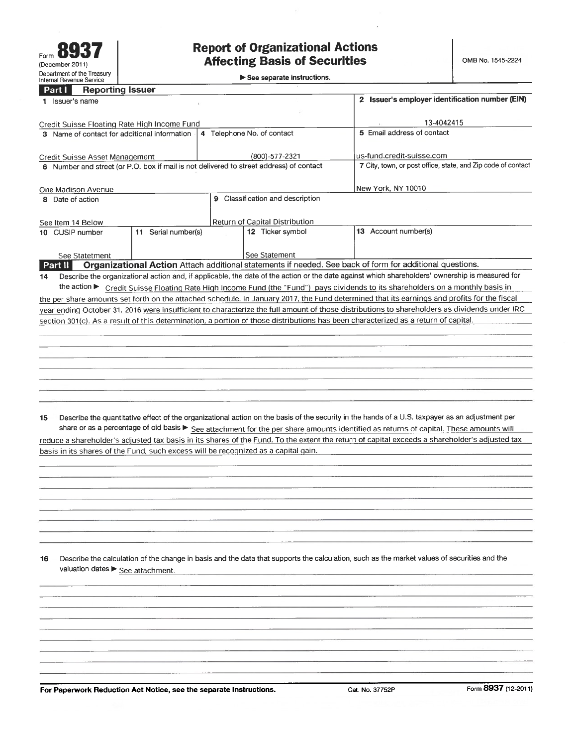# **Report of Organizational Actions Affecting Basis of Securities**

 $\blacktriangleright$  See separate instructions.

## **Part I** Reporting Issuer

|                                                                                                                                              | Issuer's name                                                                                                                                          |                    |                            | Issuer's employer identification number (EIN)                |  |  |  |  |  |
|----------------------------------------------------------------------------------------------------------------------------------------------|--------------------------------------------------------------------------------------------------------------------------------------------------------|--------------------|----------------------------|--------------------------------------------------------------|--|--|--|--|--|
|                                                                                                                                              |                                                                                                                                                        |                    |                            |                                                              |  |  |  |  |  |
|                                                                                                                                              | Credit Suisse Floating Rate High Income Fund                                                                                                           | 13-4042415         |                            |                                                              |  |  |  |  |  |
|                                                                                                                                              | 3 Name of contact for additional information                                                                                                           |                    | 4 Telephone No. of contact | 5 Email address of contact                                   |  |  |  |  |  |
|                                                                                                                                              |                                                                                                                                                        |                    |                            |                                                              |  |  |  |  |  |
|                                                                                                                                              | Credit Suisse Asset Management                                                                                                                         |                    | (800)-577-2321             | us-fund.credit-suisse.com                                    |  |  |  |  |  |
|                                                                                                                                              | 6 Number and street (or P.O. box if mail is not delivered to street address) of contact                                                                |                    |                            | 7 City, town, or post office, state, and Zip code of contact |  |  |  |  |  |
|                                                                                                                                              |                                                                                                                                                        |                    |                            |                                                              |  |  |  |  |  |
|                                                                                                                                              | One Madison Avenue                                                                                                                                     | New York, NY 10010 |                            |                                                              |  |  |  |  |  |
| Classification and description<br>9<br>Date of action<br>8.                                                                                  |                                                                                                                                                        |                    |                            |                                                              |  |  |  |  |  |
|                                                                                                                                              |                                                                                                                                                        |                    |                            |                                                              |  |  |  |  |  |
|                                                                                                                                              | See Item 14 Below                                                                                                                                      |                    |                            |                                                              |  |  |  |  |  |
|                                                                                                                                              | Serial number(s)<br>10 CUSIP number<br>11                                                                                                              |                    | 12 Ticker symbol           | Account number(s)<br>13                                      |  |  |  |  |  |
|                                                                                                                                              |                                                                                                                                                        |                    |                            |                                                              |  |  |  |  |  |
|                                                                                                                                              | See Statetment                                                                                                                                         |                    | See Statement              |                                                              |  |  |  |  |  |
|                                                                                                                                              | Organizational Action Attach additional statements if needed. See back of form for additional questions.<br><b>Part II</b>                             |                    |                            |                                                              |  |  |  |  |  |
| 14                                                                                                                                           | Describe the organizational action and, if applicable, the date of the action or the date against which shareholders' ownership is measured for        |                    |                            |                                                              |  |  |  |  |  |
|                                                                                                                                              | the action $\blacktriangleright$<br>Credit Suisse Floating Rate High Income Fund (the "Fund") pays dividends to its shareholders on a monthly basis in |                    |                            |                                                              |  |  |  |  |  |
| the per share amounts set forth on the attached schedule. In January 2017, the Fund determined that its earnings and profits for the fiscal  |                                                                                                                                                        |                    |                            |                                                              |  |  |  |  |  |
| year ending October 31, 2016 were insufficient to characterize the full amount of those distributions to shareholders as dividends under IRC |                                                                                                                                                        |                    |                            |                                                              |  |  |  |  |  |
| section 301(c). As a result of this determination, a portion of those distributions has been characterized as a return of capital.           |                                                                                                                                                        |                    |                            |                                                              |  |  |  |  |  |

Describe the quantitative effect of the organizational action on the basis of the security in the hands of a U.S. taxpayer as an adjustment per 15 share or as a percentage of old basis See attachment for the per share amounts identified as returns of capital. These amounts will reduce a shareholder's adjusted tax basis in its shares of the Fund. To the extent the return of capital exceeds a shareholder's adjusted tax basis in its shares of the Fund, such excess will be recognized as a capital gain.

Describe the calculation of the change in basis and the data that supports the calculation, such as the market values of securities and the  $16$ valuation dates > See attachment.

For Paperwork Reduction Act Notice, see the separate Instructions.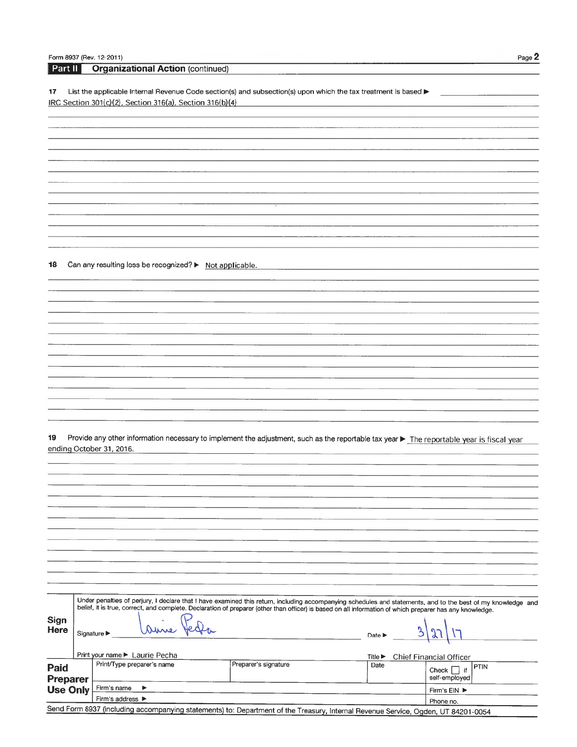|                 | Form 8937 (Rev. 12-2011)                                                                                                                                     |                      |                                     | Page 2                                |
|-----------------|--------------------------------------------------------------------------------------------------------------------------------------------------------------|----------------------|-------------------------------------|---------------------------------------|
| Part II         | <b>Organizational Action (continued)</b>                                                                                                                     |                      |                                     |                                       |
|                 |                                                                                                                                                              |                      |                                     |                                       |
| 17              | List the applicable Internal Revenue Code section(s) and subsection(s) upon which the tax treatment is based $\blacktriangleright$                           |                      |                                     |                                       |
|                 | IRC Section 301(c)(2), Section 316(a), Section 316(b)(4)                                                                                                     |                      |                                     |                                       |
|                 |                                                                                                                                                              |                      |                                     |                                       |
|                 |                                                                                                                                                              |                      |                                     |                                       |
|                 |                                                                                                                                                              |                      |                                     |                                       |
|                 |                                                                                                                                                              |                      |                                     |                                       |
|                 |                                                                                                                                                              |                      |                                     |                                       |
|                 |                                                                                                                                                              |                      |                                     |                                       |
|                 |                                                                                                                                                              |                      |                                     |                                       |
|                 |                                                                                                                                                              |                      |                                     |                                       |
|                 |                                                                                                                                                              |                      |                                     |                                       |
|                 |                                                                                                                                                              |                      |                                     |                                       |
|                 |                                                                                                                                                              |                      |                                     |                                       |
|                 |                                                                                                                                                              |                      |                                     |                                       |
|                 |                                                                                                                                                              |                      |                                     |                                       |
|                 |                                                                                                                                                              |                      |                                     |                                       |
| 18              | Can any resulting loss be recognized? > Not applicable.                                                                                                      |                      |                                     |                                       |
|                 |                                                                                                                                                              |                      |                                     |                                       |
|                 |                                                                                                                                                              |                      |                                     |                                       |
|                 |                                                                                                                                                              |                      |                                     |                                       |
|                 |                                                                                                                                                              |                      |                                     |                                       |
|                 |                                                                                                                                                              |                      |                                     |                                       |
|                 |                                                                                                                                                              |                      |                                     |                                       |
|                 |                                                                                                                                                              |                      |                                     |                                       |
|                 |                                                                                                                                                              |                      |                                     |                                       |
|                 |                                                                                                                                                              |                      |                                     |                                       |
|                 |                                                                                                                                                              |                      |                                     |                                       |
|                 |                                                                                                                                                              |                      |                                     |                                       |
|                 |                                                                                                                                                              |                      |                                     |                                       |
|                 |                                                                                                                                                              |                      |                                     |                                       |
|                 |                                                                                                                                                              |                      |                                     |                                       |
|                 |                                                                                                                                                              |                      |                                     |                                       |
|                 |                                                                                                                                                              |                      |                                     |                                       |
| 19              | Provide any other information necessary to implement the adjustment, such as the reportable tax year > The reportable year is fiscal year                    |                      |                                     |                                       |
|                 | ending October 31, 2016.                                                                                                                                     |                      |                                     |                                       |
|                 |                                                                                                                                                              |                      |                                     |                                       |
|                 |                                                                                                                                                              |                      |                                     |                                       |
|                 |                                                                                                                                                              |                      |                                     |                                       |
|                 |                                                                                                                                                              |                      |                                     |                                       |
|                 |                                                                                                                                                              |                      |                                     |                                       |
|                 |                                                                                                                                                              |                      |                                     |                                       |
|                 |                                                                                                                                                              |                      |                                     |                                       |
|                 |                                                                                                                                                              |                      |                                     |                                       |
|                 |                                                                                                                                                              |                      |                                     |                                       |
|                 |                                                                                                                                                              |                      |                                     |                                       |
|                 |                                                                                                                                                              |                      |                                     |                                       |
|                 |                                                                                                                                                              |                      |                                     |                                       |
|                 |                                                                                                                                                              |                      |                                     |                                       |
|                 | Under penalties of perjury, I declare that I have examined this return, including accompanying schedules and statements, and to the best of my knowledge and |                      |                                     |                                       |
|                 | belief, it is true, correct, and complete. Declaration of preparer (other than officer) is based on all information of which preparer has any knowledge.     |                      |                                     |                                       |
| <b>Sign</b>     |                                                                                                                                                              |                      |                                     |                                       |
| <b>Here</b>     | Signature $\blacktriangleright$                                                                                                                              |                      | Date $\blacktriangleright$          |                                       |
|                 |                                                                                                                                                              |                      |                                     |                                       |
|                 | Print your name ► Laurie Pecha                                                                                                                               |                      |                                     |                                       |
|                 | Print/Type preparer's name                                                                                                                                   | Preparer's signature | Title $\blacktriangleright$<br>Date | Chief Financial Officer               |
| Paid            |                                                                                                                                                              |                      |                                     | <b>PTIN</b><br>Check $\vert \vert$ if |
| <b>Preparer</b> |                                                                                                                                                              |                      |                                     | self-employed                         |
| <b>Use Only</b> | Firm's name<br>▶                                                                                                                                             |                      |                                     | Firm's EIN ▶                          |
| Sand Form       | Firm's address ▶                                                                                                                                             |                      |                                     | Phone no.                             |

Send Form 8937 (including accompanying statements) to: Department of the Treasury, Internal Revenue Service, Ogden, UT 84201-0054